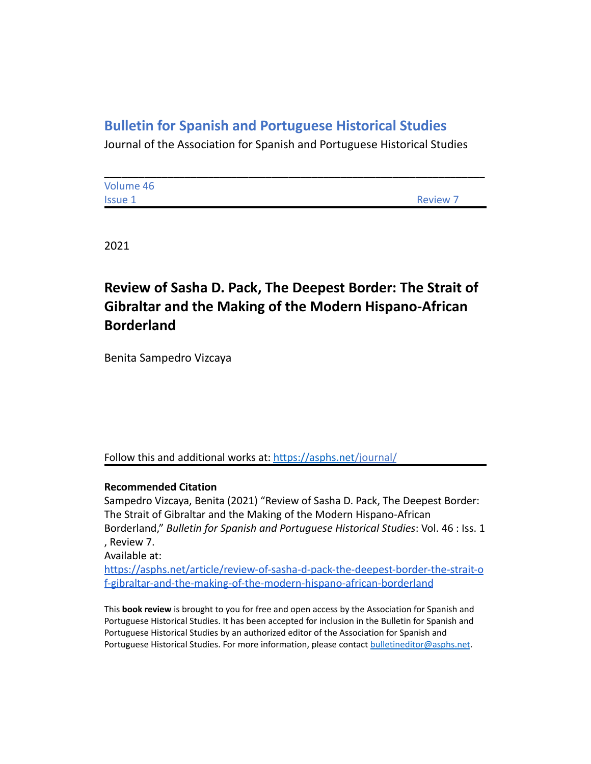## **Bulletin for Spanish and Portuguese Historical Studies**

Journal of the Association for Spanish and Portuguese Historical Studies

| Volume 46      |                 |
|----------------|-----------------|
| <b>Issue 1</b> | <b>Review 7</b> |

2021

# **Review of Sasha D. Pack, The Deepest Border: The Strait of Gibraltar and the Making of the Modern Hispano-African Borderland**

Benita Sampedro Vizcaya

### Follow this and additional works at: <https://asphs.net/journal/>

### **Recommended Citation**

Sampedro Vizcaya, Benita (2021) "Review of Sasha D. Pack, The Deepest Border: The Strait of Gibraltar and the Making of the Modern Hispano-African Borderland," *Bulletin for Spanish and Portuguese Historical Studies*: Vol. 46 : Iss. 1 , Review 7.

Available at:

[https://asphs.net/article/review-of-sasha-d-pack-the-deepest-border-the-strait-o](https://asphs.net/article/review-of-sasha-d-pack-the-deepest-border-the-strait-of-gibraltar-and-the-making-of-the-modern-hispano-african-borderland) [f-gibraltar-and-the-making-of-the-modern-hispano-african-borderland](https://asphs.net/article/review-of-sasha-d-pack-the-deepest-border-the-strait-of-gibraltar-and-the-making-of-the-modern-hispano-african-borderland)

This **book review** is brought to you for free and open access by the Association for Spanish and Portuguese Historical Studies. It has been accepted for inclusion in the Bulletin for Spanish and Portuguese Historical Studies by an authorized editor of the Association for Spanish and Portuguese Historical Studies. For more information, please contact [bulletineditor@asphs.net](mailto:bulletineditor@asphs.net).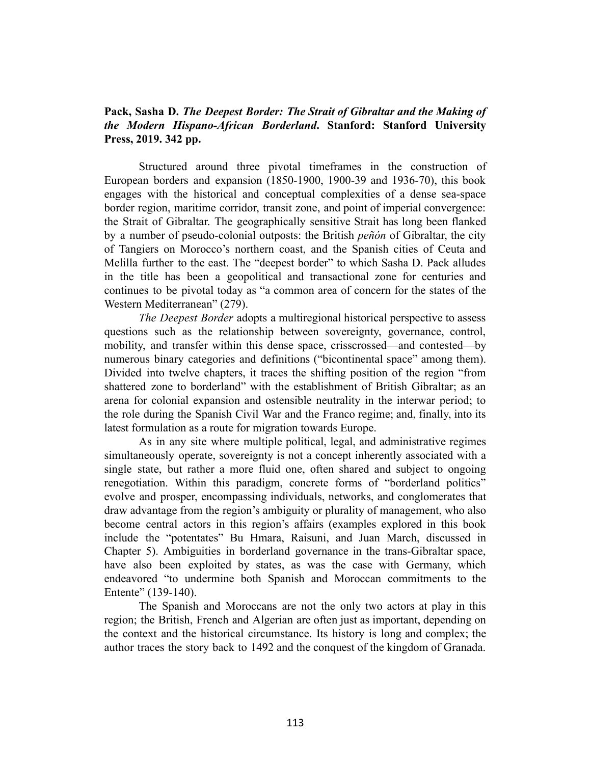### **Pack, Sasha D.** *The Deepest Border: The Strait of Gibraltar and the Making of the Modern Hispano-African Borderland***. Stanford: Stanford University Press, 2019. 342 pp.**

Structured around three pivotal timeframes in the construction of European borders and expansion (1850-1900, 1900-39 and 1936-70), this book engages with the historical and conceptual complexities of a dense sea-space border region, maritime corridor, transit zone, and point of imperial convergence: the Strait of Gibraltar. The geographically sensitive Strait has long been flanked by a number of pseudo-colonial outposts: the British *peñón* of Gibraltar, the city of Tangiers on Morocco's northern coast, and the Spanish cities of Ceuta and Melilla further to the east. The "deepest border" to which Sasha D. Pack alludes in the title has been a geopolitical and transactional zone for centuries and continues to be pivotal today as "a common area of concern for the states of the Western Mediterranean" (279).

*The Deepest Border* adopts a multiregional historical perspective to assess questions such as the relationship between sovereignty, governance, control, mobility, and transfer within this dense space, crisscrossed—and contested—by numerous binary categories and definitions ("bicontinental space" among them). Divided into twelve chapters, it traces the shifting position of the region "from shattered zone to borderland" with the establishment of British Gibraltar; as an arena for colonial expansion and ostensible neutrality in the interwar period; to the role during the Spanish Civil War and the Franco regime; and, finally, into its latest formulation as a route for migration towards Europe.

As in any site where multiple political, legal, and administrative regimes simultaneously operate, sovereignty is not a concept inherently associated with a single state, but rather a more fluid one, often shared and subject to ongoing renegotiation. Within this paradigm, concrete forms of "borderland politics" evolve and prosper, encompassing individuals, networks, and conglomerates that draw advantage from the region's ambiguity or plurality of management, who also become central actors in this region's affairs (examples explored in this book include the "potentates" Bu Hmara, Raisuni, and Juan March, discussed in Chapter 5). Ambiguities in borderland governance in the trans-Gibraltar space, have also been exploited by states, as was the case with Germany, which endeavored "to undermine both Spanish and Moroccan commitments to the Entente" (139-140).

The Spanish and Moroccans are not the only two actors at play in this region; the British, French and Algerian are often just as important, depending on the context and the historical circumstance. Its history is long and complex; the author traces the story back to 1492 and the conquest of the kingdom of Granada.